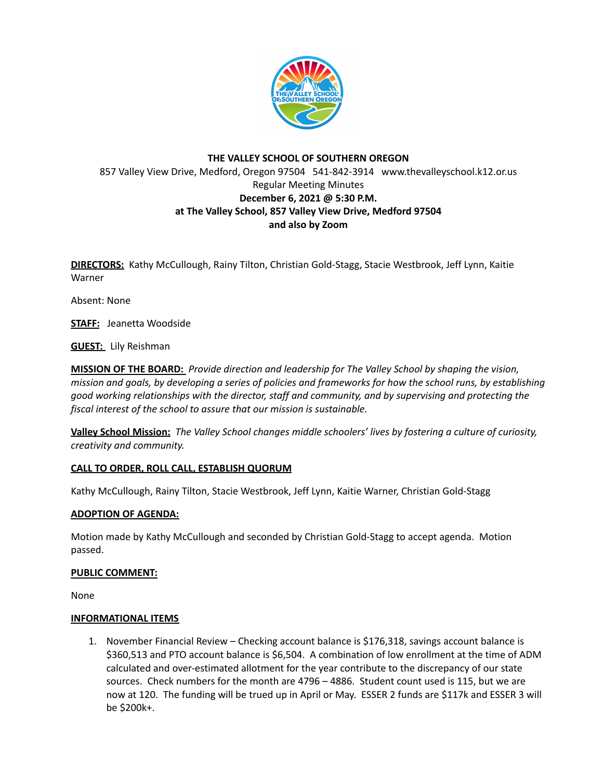

# **THE VALLEY SCHOOL OF SOUTHERN OREGON** 857 Valley View Drive, Medford, Oregon 97504 541-842-3914 www.thevalleyschool.k12.or.us Regular Meeting Minutes **December 6, 2021 @ 5:30 P.M. at The Valley School, 857 Valley View Drive, Medford 97504 and also by Zoom**

**DIRECTORS:** Kathy McCullough, Rainy Tilton, Christian Gold-Stagg, Stacie Westbrook, Jeff Lynn, Kaitie Warner

Absent: None

**STAFF:** Jeanetta Woodside

**GUEST:** Lily Reishman

**MISSION OF THE BOARD:** *Provide direction and leadership for The Valley School by shaping the vision,* mission and goals, by developing a series of policies and frameworks for how the school runs, by establishing *good working relationships with the director, staff and community, and by supervising and protecting the fiscal interest of the school to assure that our mission is sustainable.*

**Valley School Mission:** *The Valley School changes middle schoolers' lives by fostering a culture of curiosity, creativity and community.*

### **CALL TO ORDER, ROLL CALL, ESTABLISH QUORUM**

Kathy McCullough, Rainy Tilton, Stacie Westbrook, Jeff Lynn, Kaitie Warner, Christian Gold-Stagg

### **ADOPTION OF AGENDA:**

Motion made by Kathy McCullough and seconded by Christian Gold-Stagg to accept agenda. Motion passed.

### **PUBLIC COMMENT:**

None

#### **INFORMATIONAL ITEMS**

1. November Financial Review – Checking account balance is \$176,318, savings account balance is \$360,513 and PTO account balance is \$6,504. A combination of low enrollment at the time of ADM calculated and over-estimated allotment for the year contribute to the discrepancy of our state sources. Check numbers for the month are 4796 – 4886. Student count used is 115, but we are now at 120. The funding will be trued up in April or May. ESSER 2 funds are \$117k and ESSER 3 will be \$200k+.